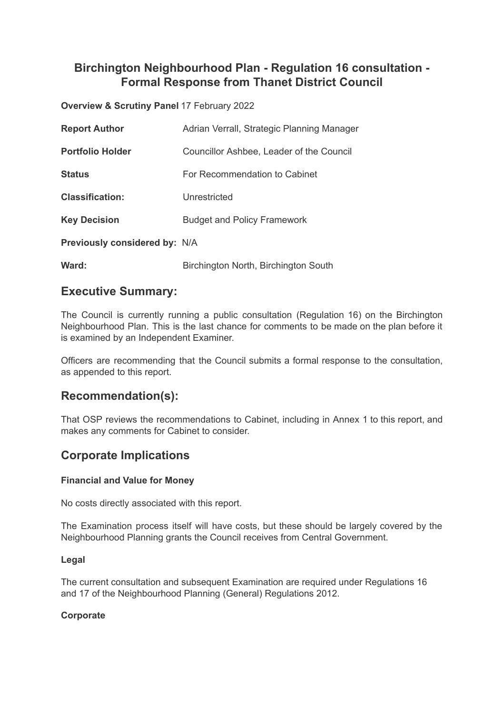# **Birchington Neighbourhood Plan - Regulation 16 consultation - Formal Response from Thanet District Council**

**Overview & Scrutiny Panel** 17 February 2022

| <b>Report Author</b>                 | Adrian Verrall, Strategic Planning Manager |
|--------------------------------------|--------------------------------------------|
| <b>Portfolio Holder</b>              | Councillor Ashbee, Leader of the Council   |
| <b>Status</b>                        | For Recommendation to Cabinet              |
| <b>Classification:</b>               | Unrestricted                               |
| <b>Key Decision</b>                  | <b>Budget and Policy Framework</b>         |
| <b>Previously considered by: N/A</b> |                                            |
| Ward:                                | Birchington North, Birchington South       |

# **Executive Summary:**

The Council is currently running a public consultation (Regulation 16) on the Birchington Neighbourhood Plan. This is the last chance for comments to be made on the plan before it is examined by an Independent Examiner.

Officers are recommending that the Council submits a formal response to the consultation, as appended to this report.

# **Recommendation(s):**

That OSP reviews the recommendations to Cabinet, including in Annex 1 to this report, and makes any comments for Cabinet to consider.

# **Corporate Implications**

### **Financial and Value for Money**

No costs directly associated with this report.

The Examination process itself will have costs, but these should be largely covered by the Neighbourhood Planning grants the Council receives from Central Government.

### **Legal**

The current consultation and subsequent Examination are required under Regulations 16 and 17 of the Neighbourhood Planning (General) Regulations 2012.

## **Corporate**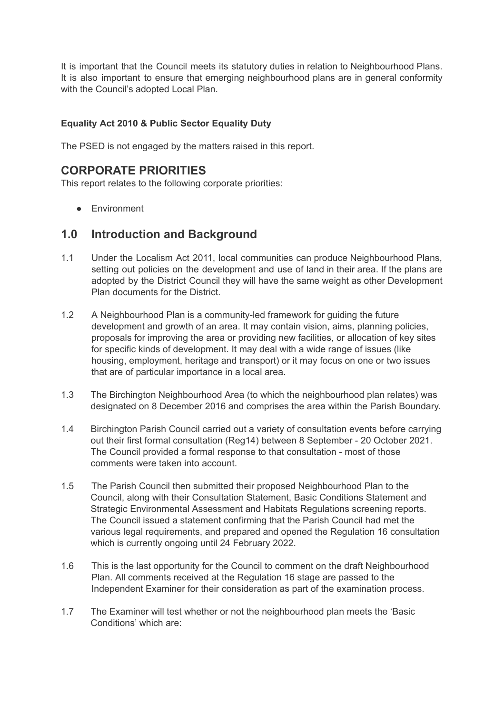It is important that the Council meets its statutory duties in relation to Neighbourhood Plans. It is also important to ensure that emerging neighbourhood plans are in general conformity with the Council's adopted Local Plan.

## **Equality Act 2010 & Public Sector Equality Duty**

The PSED is not engaged by the matters raised in this report.

# **CORPORATE PRIORITIES**

This report relates to the following corporate priorities:

● Environment

# **1.0 Introduction and Background**

- 1.1 Under the Localism Act 2011, local communities can produce Neighbourhood Plans, setting out policies on the development and use of land in their area. If the plans are adopted by the District Council they will have the same weight as other Development Plan documents for the District.
- 1.2 A Neighbourhood Plan is a community-led framework for guiding the future development and growth of an area. It may contain vision, aims, planning policies, proposals for improving the area or providing new facilities, or allocation of key sites for specific kinds of development. It may deal with a wide range of issues (like housing, employment, heritage and transport) or it may focus on one or two issues that are of particular importance in a local area.
- 1.3 The Birchington Neighbourhood Area (to which the neighbourhood plan relates) was designated on 8 December 2016 and comprises the area within the Parish Boundary.
- 1.4 Birchington Parish Council carried out a variety of consultation events before carrying out their first formal consultation (Reg14) between 8 September - 20 October 2021. The Council provided a formal response to that consultation - most of those comments were taken into account.
- 1.5 The Parish Council then submitted their proposed Neighbourhood Plan to the Council, along with their Consultation Statement, Basic Conditions Statement and Strategic Environmental Assessment and Habitats Regulations screening reports. The Council issued a statement confirming that the Parish Council had met the various legal requirements, and prepared and opened the Regulation 16 consultation which is currently ongoing until 24 February 2022.
- 1.6 This is the last opportunity for the Council to comment on the draft Neighbourhood Plan. All comments received at the Regulation 16 stage are passed to the Independent Examiner for their consideration as part of the examination process.
- 1.7 The Examiner will test whether or not the neighbourhood plan meets the 'Basic Conditions' which are: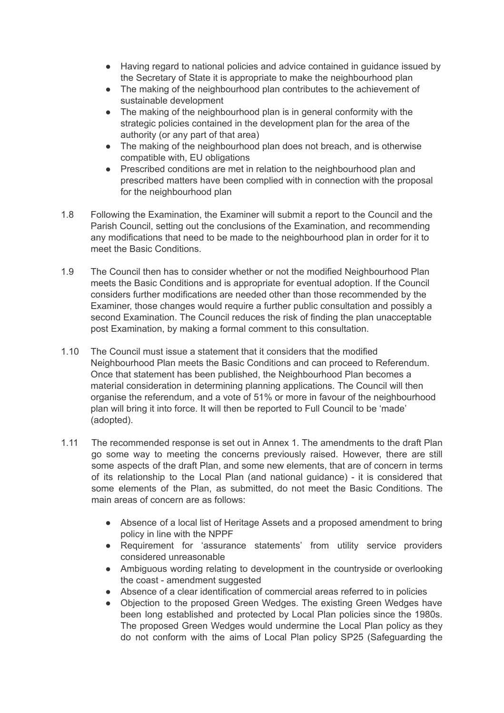- Having regard to national policies and advice contained in guidance issued by the Secretary of State it is appropriate to make the neighbourhood plan
- The making of the neighbourhood plan contributes to the achievement of sustainable development
- The making of the neighbourhood plan is in general conformity with the strategic policies contained in the development plan for the area of the authority (or any part of that area)
- The making of the neighbourhood plan does not breach, and is otherwise compatible with, EU obligations
- Prescribed conditions are met in relation to the neighbourhood plan and prescribed matters have been complied with in connection with the proposal for the neighbourhood plan
- 1.8 Following the Examination, the Examiner will submit a report to the Council and the Parish Council, setting out the conclusions of the Examination, and recommending any modifications that need to be made to the neighbourhood plan in order for it to meet the Basic Conditions.
- 1.9 The Council then has to consider whether or not the modified Neighbourhood Plan meets the Basic Conditions and is appropriate for eventual adoption. If the Council considers further modifications are needed other than those recommended by the Examiner, those changes would require a further public consultation and possibly a second Examination. The Council reduces the risk of finding the plan unacceptable post Examination, by making a formal comment to this consultation.
- 1.10 The Council must issue a statement that it considers that the modified Neighbourhood Plan meets the Basic Conditions and can proceed to Referendum. Once that statement has been published, the Neighbourhood Plan becomes a material consideration in determining planning applications. The Council will then organise the referendum, and a vote of 51% or more in favour of the neighbourhood plan will bring it into force. It will then be reported to Full Council to be 'made' (adopted).
- 1.11 The recommended response is set out in Annex 1. The amendments to the draft Plan go some way to meeting the concerns previously raised. However, there are still some aspects of the draft Plan, and some new elements, that are of concern in terms of its relationship to the Local Plan (and national guidance) - it is considered that some elements of the Plan, as submitted, do not meet the Basic Conditions. The main areas of concern are as follows:
	- Absence of a local list of Heritage Assets and a proposed amendment to bring policy in line with the NPPF
	- Requirement for 'assurance statements' from utility service providers considered unreasonable
	- Ambiguous wording relating to development in the countryside or overlooking the coast - amendment suggested
	- Absence of a clear identification of commercial areas referred to in policies
	- Objection to the proposed Green Wedges. The existing Green Wedges have been long established and protected by Local Plan policies since the 1980s. The proposed Green Wedges would undermine the Local Plan policy as they do not conform with the aims of Local Plan policy SP25 (Safeguarding the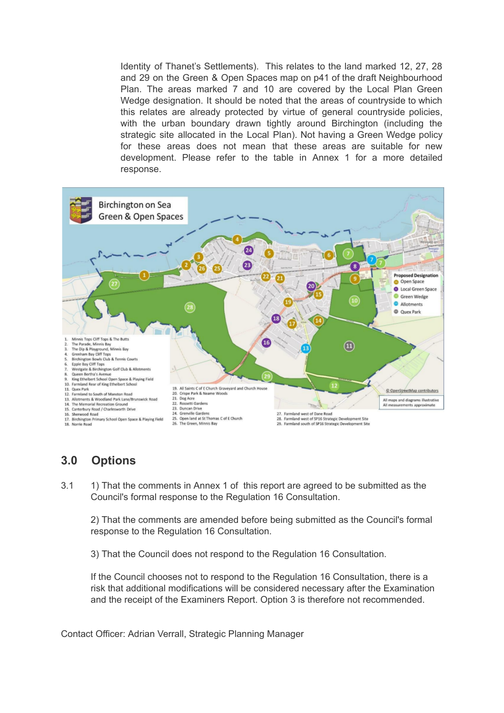Identity of Thanet's Settlements). This relates to the land marked 12, 27, 28 and 29 on the Green & Open Spaces map on p41 of the draft Neighbourhood Plan. The areas marked 7 and 10 are covered by the Local Plan Green Wedge designation. It should be noted that the areas of countryside to which this relates are already protected by virtue of general countryside policies, with the urban boundary drawn tightly around Birchington (including the strategic site allocated in the Local Plan). Not having a Green Wedge policy for these areas does not mean that these areas are suitable for new development. Please refer to the table in Annex 1 for a more detailed response.



# **3.0 Options**

3.1 1) That the comments in Annex 1 of this report are agreed to be submitted as the Council's formal response to the Regulation 16 Consultation.

2) That the comments are amended before being submitted as the Council's formal response to the Regulation 16 Consultation.

3) That the Council does not respond to the Regulation 16 Consultation.

If the Council chooses not to respond to the Regulation 16 Consultation, there is a risk that additional modifications will be considered necessary after the Examination and the receipt of the Examiners Report. Option 3 is therefore not recommended.

Contact Officer: Adrian Verrall, Strategic Planning Manager